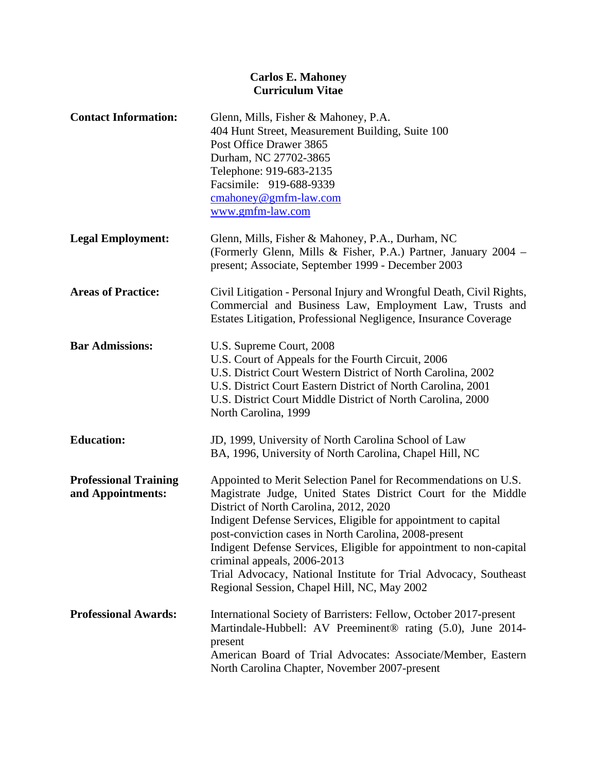| <b>Contact Information:</b>                       | Glenn, Mills, Fisher & Mahoney, P.A.<br>404 Hunt Street, Measurement Building, Suite 100<br>Post Office Drawer 3865<br>Durham, NC 27702-3865<br>Telephone: 919-683-2135<br>Facsimile: 919-688-9339<br>$\overline{\text{cmahoney}\textcircled{e}}\text{g}$ mfm-law.com<br>www.gmfm-law.com                                                                                                                                                                                                                                    |
|---------------------------------------------------|------------------------------------------------------------------------------------------------------------------------------------------------------------------------------------------------------------------------------------------------------------------------------------------------------------------------------------------------------------------------------------------------------------------------------------------------------------------------------------------------------------------------------|
| <b>Legal Employment:</b>                          | Glenn, Mills, Fisher & Mahoney, P.A., Durham, NC<br>(Formerly Glenn, Mills & Fisher, P.A.) Partner, January 2004 -<br>present; Associate, September 1999 - December 2003                                                                                                                                                                                                                                                                                                                                                     |
| <b>Areas of Practice:</b>                         | Civil Litigation - Personal Injury and Wrongful Death, Civil Rights,<br>Commercial and Business Law, Employment Law, Trusts and<br>Estates Litigation, Professional Negligence, Insurance Coverage                                                                                                                                                                                                                                                                                                                           |
| <b>Bar Admissions:</b>                            | U.S. Supreme Court, 2008<br>U.S. Court of Appeals for the Fourth Circuit, 2006<br>U.S. District Court Western District of North Carolina, 2002<br>U.S. District Court Eastern District of North Carolina, 2001<br>U.S. District Court Middle District of North Carolina, 2000<br>North Carolina, 1999                                                                                                                                                                                                                        |
| <b>Education:</b>                                 | JD, 1999, University of North Carolina School of Law<br>BA, 1996, University of North Carolina, Chapel Hill, NC                                                                                                                                                                                                                                                                                                                                                                                                              |
| <b>Professional Training</b><br>and Appointments: | Appointed to Merit Selection Panel for Recommendations on U.S.<br>Magistrate Judge, United States District Court for the Middle<br>District of North Carolina, 2012, 2020<br>Indigent Defense Services, Eligible for appointment to capital<br>post-conviction cases in North Carolina, 2008-present<br>Indigent Defense Services, Eligible for appointment to non-capital<br>criminal appeals, 2006-2013<br>Trial Advocacy, National Institute for Trial Advocacy, Southeast<br>Regional Session, Chapel Hill, NC, May 2002 |
| <b>Professional Awards:</b>                       | International Society of Barristers: Fellow, October 2017-present<br>Martindale-Hubbell: AV Preeminent® rating (5.0), June 2014-<br>present<br>American Board of Trial Advocates: Associate/Member, Eastern<br>North Carolina Chapter, November 2007-present                                                                                                                                                                                                                                                                 |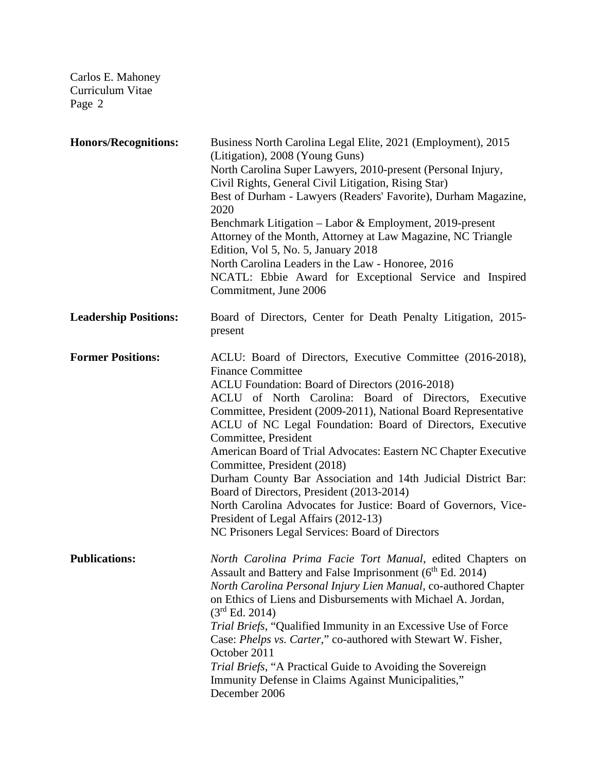| <b>Honors/Recognitions:</b>  | Business North Carolina Legal Elite, 2021 (Employment), 2015<br>(Litigation), 2008 (Young Guns)<br>North Carolina Super Lawyers, 2010-present (Personal Injury,<br>Civil Rights, General Civil Litigation, Rising Star)<br>Best of Durham - Lawyers (Readers' Favorite), Durham Magazine,<br>2020<br>Benchmark Litigation – Labor & Employment, 2019-present<br>Attorney of the Month, Attorney at Law Magazine, NC Triangle<br>Edition, Vol 5, No. 5, January 2018<br>North Carolina Leaders in the Law - Honoree, 2016<br>NCATL: Ebbie Award for Exceptional Service and Inspired<br>Commitment, June 2006                                                                                                                              |
|------------------------------|-------------------------------------------------------------------------------------------------------------------------------------------------------------------------------------------------------------------------------------------------------------------------------------------------------------------------------------------------------------------------------------------------------------------------------------------------------------------------------------------------------------------------------------------------------------------------------------------------------------------------------------------------------------------------------------------------------------------------------------------|
| <b>Leadership Positions:</b> | Board of Directors, Center for Death Penalty Litigation, 2015-<br>present                                                                                                                                                                                                                                                                                                                                                                                                                                                                                                                                                                                                                                                                 |
| <b>Former Positions:</b>     | ACLU: Board of Directors, Executive Committee (2016-2018),<br><b>Finance Committee</b><br>ACLU Foundation: Board of Directors (2016-2018)<br>ACLU of North Carolina: Board of Directors, Executive<br>Committee, President (2009-2011), National Board Representative<br>ACLU of NC Legal Foundation: Board of Directors, Executive<br>Committee, President<br>American Board of Trial Advocates: Eastern NC Chapter Executive<br>Committee, President (2018)<br>Durham County Bar Association and 14th Judicial District Bar:<br>Board of Directors, President (2013-2014)<br>North Carolina Advocates for Justice: Board of Governors, Vice-<br>President of Legal Affairs (2012-13)<br>NC Prisoners Legal Services: Board of Directors |
| <b>Publications:</b>         | North Carolina Prima Facie Tort Manual, edited Chapters on<br>Assault and Battery and False Imprisonment (6 <sup>th</sup> Ed. 2014)<br>North Carolina Personal Injury Lien Manual, co-authored Chapter<br>on Ethics of Liens and Disbursements with Michael A. Jordan,<br>(3 <sup>rd</sup> Ed. 2014)<br>Trial Briefs, "Qualified Immunity in an Excessive Use of Force<br>Case: Phelps vs. Carter," co-authored with Stewart W. Fisher,<br>October 2011<br>Trial Briefs, "A Practical Guide to Avoiding the Sovereign<br>Immunity Defense in Claims Against Municipalities,"<br>December 2006                                                                                                                                             |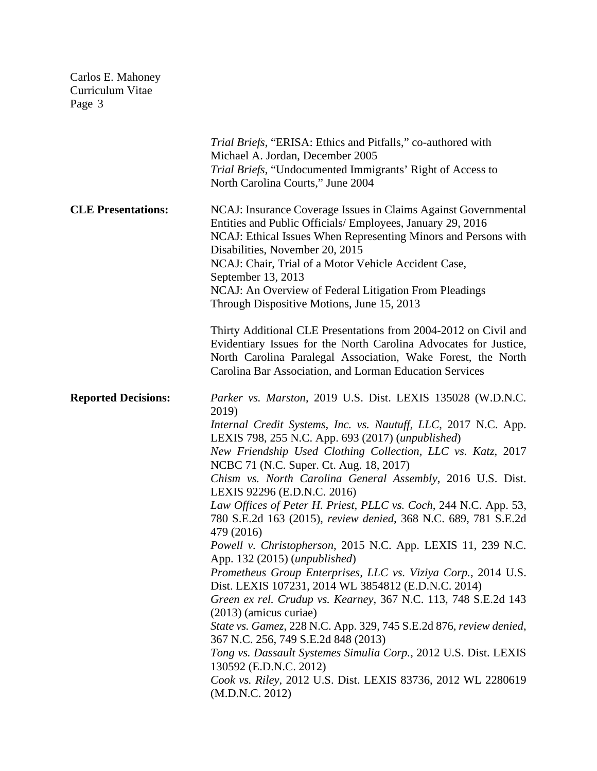|                            | Trial Briefs, "ERISA: Ethics and Pitfalls," co-authored with<br>Michael A. Jordan, December 2005<br>Trial Briefs, "Undocumented Immigrants' Right of Access to<br>North Carolina Courts," June 2004                                                                                                                                                                                                                                                                                                                                                                                                                                                                                                                                                                                                                                                                                                                                                                                                                                                                                                                                                                               |
|----------------------------|-----------------------------------------------------------------------------------------------------------------------------------------------------------------------------------------------------------------------------------------------------------------------------------------------------------------------------------------------------------------------------------------------------------------------------------------------------------------------------------------------------------------------------------------------------------------------------------------------------------------------------------------------------------------------------------------------------------------------------------------------------------------------------------------------------------------------------------------------------------------------------------------------------------------------------------------------------------------------------------------------------------------------------------------------------------------------------------------------------------------------------------------------------------------------------------|
| <b>CLE Presentations:</b>  | NCAJ: Insurance Coverage Issues in Claims Against Governmental<br>Entities and Public Officials/ Employees, January 29, 2016<br>NCAJ: Ethical Issues When Representing Minors and Persons with<br>Disabilities, November 20, 2015<br>NCAJ: Chair, Trial of a Motor Vehicle Accident Case,<br>September 13, 2013<br>NCAJ: An Overview of Federal Litigation From Pleadings<br>Through Dispositive Motions, June 15, 2013                                                                                                                                                                                                                                                                                                                                                                                                                                                                                                                                                                                                                                                                                                                                                           |
|                            | Thirty Additional CLE Presentations from 2004-2012 on Civil and<br>Evidentiary Issues for the North Carolina Advocates for Justice,<br>North Carolina Paralegal Association, Wake Forest, the North<br>Carolina Bar Association, and Lorman Education Services                                                                                                                                                                                                                                                                                                                                                                                                                                                                                                                                                                                                                                                                                                                                                                                                                                                                                                                    |
| <b>Reported Decisions:</b> | Parker vs. Marston, 2019 U.S. Dist. LEXIS 135028 (W.D.N.C.<br>2019)<br>Internal Credit Systems, Inc. vs. Nautuff, LLC, 2017 N.C. App.<br>LEXIS 798, 255 N.C. App. 693 (2017) (unpublished)<br>New Friendship Used Clothing Collection, LLC vs. Katz, 2017<br>NCBC 71 (N.C. Super. Ct. Aug. 18, 2017)<br>Chism vs. North Carolina General Assembly, 2016 U.S. Dist.<br>LEXIS 92296 (E.D.N.C. 2016)<br>Law Offices of Peter H. Priest, PLLC vs. Coch, 244 N.C. App. 53,<br>780 S.E.2d 163 (2015), review denied, 368 N.C. 689, 781 S.E.2d<br>479 (2016)<br>Powell v. Christopherson, 2015 N.C. App. LEXIS 11, 239 N.C.<br>App. 132 (2015) ( <i>unpublished</i> )<br>Prometheus Group Enterprises, LLC vs. Viziya Corp., 2014 U.S.<br>Dist. LEXIS 107231, 2014 WL 3854812 (E.D.N.C. 2014)<br>Green ex rel. Crudup vs. Kearney, 367 N.C. 113, 748 S.E.2d 143<br>$(2013)$ (amicus curiae)<br>State vs. Gamez, 228 N.C. App. 329, 745 S.E.2d 876, review denied,<br>367 N.C. 256, 749 S.E.2d 848 (2013)<br>Tong vs. Dassault Systemes Simulia Corp., 2012 U.S. Dist. LEXIS<br>130592 (E.D.N.C. 2012)<br>Cook vs. Riley, 2012 U.S. Dist. LEXIS 83736, 2012 WL 2280619<br>(M.D.N.C. 2012) |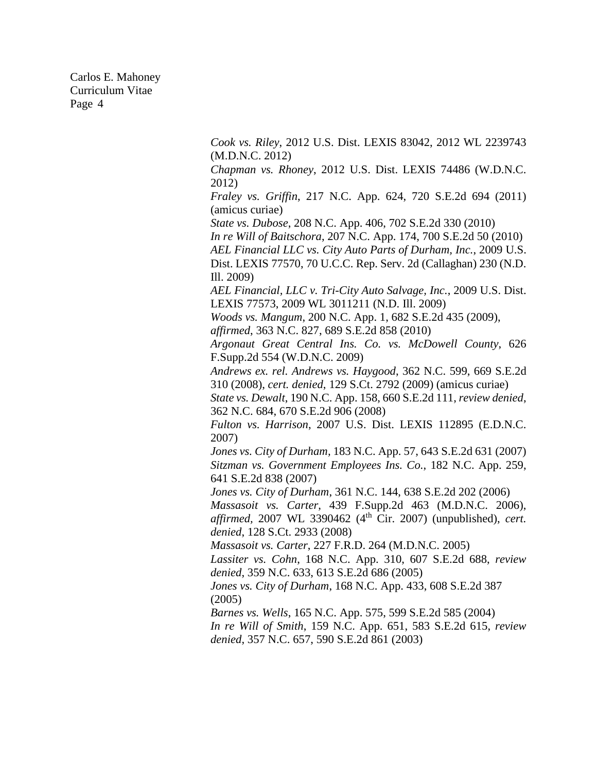> *Cook vs. Riley*, 2012 U.S. Dist. LEXIS 83042, 2012 WL 2239743 (M.D.N.C. 2012)

> *Chapman vs. Rhoney*, 2012 U.S. Dist. LEXIS 74486 (W.D.N.C. 2012)

> *Fraley vs. Griffin*, 217 N.C. App. 624, 720 S.E.2d 694 (2011) (amicus curiae)

*State vs. Dubose*, 208 N.C. App. 406, 702 S.E.2d 330 (2010)

*In re Will of Baitschora*, 207 N.C. App. 174, 700 S.E.2d 50 (2010)

*AEL Financial LLC vs. City Auto Parts of Durham, Inc.*, 2009 U.S. Dist. LEXIS 77570, 70 U.C.C. Rep. Serv. 2d (Callaghan) 230 (N.D. Ill. 2009)

*AEL Financial, LLC v. Tri-City Auto Salvage, Inc.*, 2009 U.S. Dist. LEXIS 77573, 2009 WL 3011211 (N.D. Ill. 2009)

*Woods vs. Mangum*, 200 N.C. App. 1, 682 S.E.2d 435 (2009),

*affirmed*, 363 N.C. 827, 689 S.E.2d 858 (2010)

*Argonaut Great Central Ins. Co. vs. McDowell County*, 626 F.Supp.2d 554 (W.D.N.C. 2009)

*Andrews ex. rel. Andrews vs. Haygood*, 362 N.C. 599, 669 S.E.2d 310 (2008), *cert. denied*, 129 S.Ct. 2792 (2009) (amicus curiae)

*State vs. Dewalt*, 190 N.C. App. 158, 660 S.E.2d 111, *review denied*, 362 N.C. 684, 670 S.E.2d 906 (2008)

*Fulton vs. Harrison*, 2007 U.S. Dist. LEXIS 112895 (E.D.N.C. 2007)

*Jones vs. City of Durham,* 183 N.C. App. 57, 643 S.E.2d 631 (2007) *Sitzman vs. Government Employees Ins. Co.*, 182 N.C. App. 259, 641 S.E.2d 838 (2007)

*Jones vs. City of Durham*, 361 N.C. 144, 638 S.E.2d 202 (2006)

*Massasoit vs. Carter*, 439 F.Supp.2d 463 (M.D.N.C. 2006), *affirmed,* 2007 WL 3390462 (4<sup>th</sup> Cir. 2007) (unpublished), *cert. denied*, 128 S.Ct. 2933 (2008)

*Massasoit vs. Carter*, 227 F.R.D. 264 (M.D.N.C. 2005)

*Lassiter vs. Cohn*, 168 N.C. App. 310, 607 S.E.2d 688, *review denied*, 359 N.C. 633, 613 S.E.2d 686 (2005)

*Jones vs. City of Durham*, 168 N.C. App. 433, 608 S.E.2d 387 (2005)

*Barnes vs. Wells*, 165 N.C. App. 575, 599 S.E.2d 585 (2004)

*In re Will of Smith*, 159 N.C. App. 651, 583 S.E.2d 615, *review denied*, 357 N.C. 657, 590 S.E.2d 861 (2003)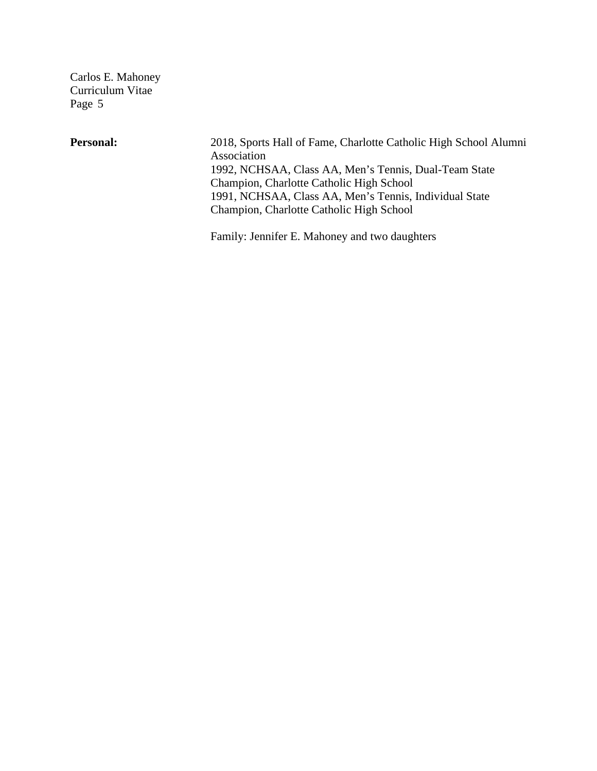Personal: 2018, Sports Hall of Fame, Charlotte Catholic High School Alumni Association 1992, NCHSAA, Class AA, Men's Tennis, Dual-Team State Champion, Charlotte Catholic High School 1991, NCHSAA, Class AA, Men's Tennis, Individual State Champion, Charlotte Catholic High School

Family: Jennifer E. Mahoney and two daughters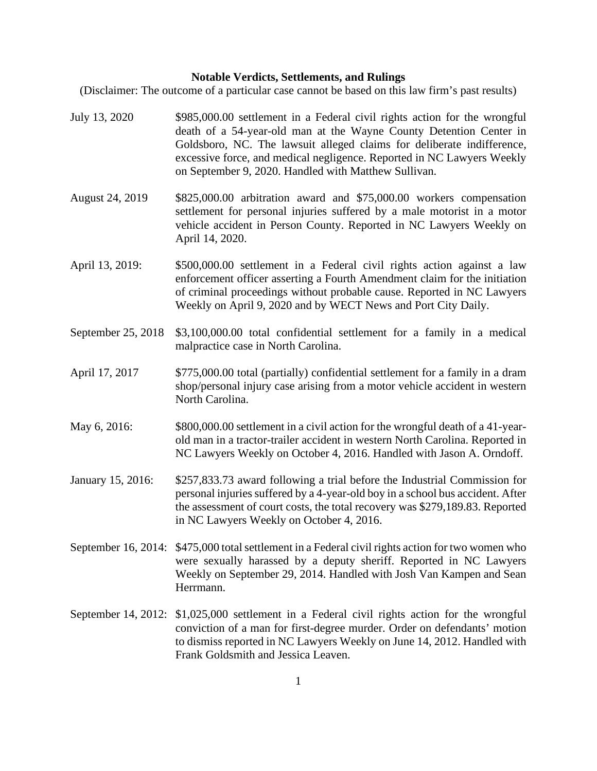## **Notable Verdicts, Settlements, and Rulings**

(Disclaimer: The outcome of a particular case cannot be based on this law firm's past results)

July 13, 2020 \$985,000.00 settlement in a Federal civil rights action for the wrongful death of a 54-year-old man at the Wayne County Detention Center in Goldsboro, NC. The lawsuit alleged claims for deliberate indifference, excessive force, and medical negligence. Reported in NC Lawyers Weekly on September 9, 2020. Handled with Matthew Sullivan. August 24, 2019 \$825,000.00 arbitration award and \$75,000.00 workers compensation settlement for personal injuries suffered by a male motorist in a motor vehicle accident in Person County. Reported in NC Lawyers Weekly on April 14, 2020. April 13, 2019: \$500,000.00 settlement in a Federal civil rights action against a law enforcement officer asserting a Fourth Amendment claim for the initiation of criminal proceedings without probable cause. Reported in NC Lawyers Weekly on April 9, 2020 and by WECT News and Port City Daily. September 25, 2018 \$3,100,000.00 total confidential settlement for a family in a medical malpractice case in North Carolina. April 17, 2017 \$775,000.00 total (partially) confidential settlement for a family in a dram shop/personal injury case arising from a motor vehicle accident in western North Carolina. May 6, 2016:  $$800,000.00$  settlement in a civil action for the wrongful death of a 41-yearold man in a tractor-trailer accident in western North Carolina. Reported in NC Lawyers Weekly on October 4, 2016. Handled with Jason A. Orndoff. January 15, 2016: \$257,833.73 award following a trial before the Industrial Commission for personal injuries suffered by a 4-year-old boy in a school bus accident. After the assessment of court costs, the total recovery was \$279,189.83. Reported in NC Lawyers Weekly on October 4, 2016. September 16, 2014: \$475,000 total settlement in a Federal civil rights action for two women who were sexually harassed by a deputy sheriff. Reported in NC Lawyers Weekly on September 29, 2014. Handled with Josh Van Kampen and Sean Herrmann. September 14, 2012: \$1,025,000 settlement in a Federal civil rights action for the wrongful conviction of a man for first-degree murder. Order on defendants' motion

Frank Goldsmith and Jessica Leaven.

to dismiss reported in NC Lawyers Weekly on June 14, 2012. Handled with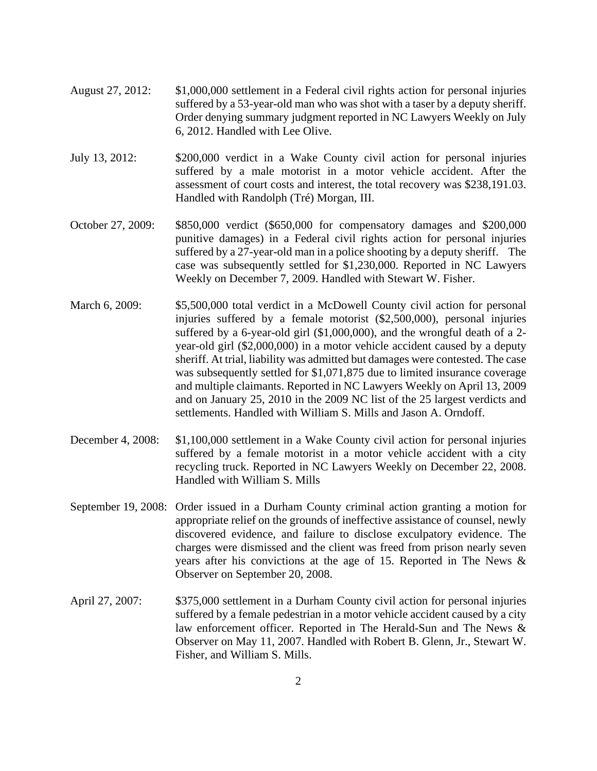- August 27, 2012: \$1,000,000 settlement in a Federal civil rights action for personal injuries suffered by a 53-year-old man who was shot with a taser by a deputy sheriff. Order denying summary judgment reported in NC Lawyers Weekly on July 6, 2012. Handled with Lee Olive.
- July 13, 2012: \$200,000 verdict in a Wake County civil action for personal injuries suffered by a male motorist in a motor vehicle accident. After the assessment of court costs and interest, the total recovery was \$238,191.03. Handled with Randolph (Tré) Morgan, III.
- October 27, 2009: \$850,000 verdict (\$650,000 for compensatory damages and \$200,000 punitive damages) in a Federal civil rights action for personal injuries suffered by a 27-year-old man in a police shooting by a deputy sheriff. The case was subsequently settled for \$1,230,000. Reported in NC Lawyers Weekly on December 7, 2009. Handled with Stewart W. Fisher.
- March 6, 2009: \$5,500,000 total verdict in a McDowell County civil action for personal injuries suffered by a female motorist (\$2,500,000), personal injuries suffered by a 6-year-old girl (\$1,000,000), and the wrongful death of a 2 year-old girl (\$2,000,000) in a motor vehicle accident caused by a deputy sheriff. At trial, liability was admitted but damages were contested. The case was subsequently settled for \$1,071,875 due to limited insurance coverage and multiple claimants. Reported in NC Lawyers Weekly on April 13, 2009 and on January 25, 2010 in the 2009 NC list of the 25 largest verdicts and settlements. Handled with William S. Mills and Jason A. Orndoff.
- December 4, 2008: \$1,100,000 settlement in a Wake County civil action for personal injuries suffered by a female motorist in a motor vehicle accident with a city recycling truck. Reported in NC Lawyers Weekly on December 22, 2008. Handled with William S. Mills
- September 19, 2008: Order issued in a Durham County criminal action granting a motion for appropriate relief on the grounds of ineffective assistance of counsel, newly discovered evidence, and failure to disclose exculpatory evidence. The charges were dismissed and the client was freed from prison nearly seven years after his convictions at the age of 15. Reported in The News & Observer on September 20, 2008.
- April 27, 2007: \$375,000 settlement in a Durham County civil action for personal injuries suffered by a female pedestrian in a motor vehicle accident caused by a city law enforcement officer. Reported in The Herald-Sun and The News & Observer on May 11, 2007. Handled with Robert B. Glenn, Jr., Stewart W. Fisher, and William S. Mills.